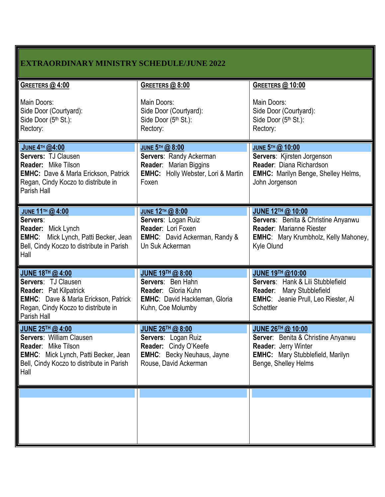| <b>EXTRAORDINARY MINISTRY SCHEDULE/JUNE 2022</b>                                                                                                                                |                                                                                                                                   |                                                                                                                                                                  |  |
|---------------------------------------------------------------------------------------------------------------------------------------------------------------------------------|-----------------------------------------------------------------------------------------------------------------------------------|------------------------------------------------------------------------------------------------------------------------------------------------------------------|--|
| <b>GREETERS @ 4:00</b><br>Main Doors:<br>Side Door (Courtyard):<br>Side Door (5th St.):<br>Rectory:                                                                             | GREETERS @ 8:00<br>Main Doors:<br>Side Door (Courtyard):<br>Side Door (5th St.):<br>Rectory:                                      | <b>GREETERS @ 10:00</b><br>Main Doors:<br>Side Door (Courtyard):<br>Side Door (5th St.):<br>Rectory:                                                             |  |
| <b>JUNE 4TH @4:00</b><br>Servers: TJ Clausen<br><b>Reader:</b> Mike Tilson<br><b>EMHC:</b> Dave & Marla Erickson, Patrick<br>Regan, Cindy Koczo to distribute in<br>Parish Hall | JUNE 5TH @ 8:00<br>Servers: Randy Ackerman<br><b>Reader:</b> Marian Biggins<br><b>EMHC:</b> Holly Webster, Lori & Martin<br>Foxen | JUNE 5TH @ 10:00<br>Servers: Kjirsten Jorgenson<br>Reader: Diana Richardson<br><b>EMHC:</b> Marilyn Benge, Shelley Helms,<br>John Jorgenson                      |  |
| JUNE 11 <sup>TH</sup> @ 4:00<br>Servers:<br>Reader: Mick Lynch<br><b>EMHC:</b> Mick Lynch, Patti Becker, Jean<br>Bell, Cindy Koczo to distribute in Parish<br>Hall              | JUNE 12TH @ 8:00<br>Servers: Logan Ruiz<br>Reader: Lori Foxen<br><b>EMHC:</b> David Ackerman, Randy &<br>Un Suk Ackerman          | JUNE 12TH @ 10:00<br><b>Servers:</b> Benita & Christine Anyanwu<br>Reader: Marianne Riester<br><b>EMHC:</b> Mary Krumbholz, Kelly Mahoney,<br>Kyle Olund         |  |
| JUNE 18TH @ 4:00<br>Servers: TJ Clausen<br><b>Reader: Pat Kilpatrick</b><br><b>EMHC:</b> Dave & Marla Erickson, Patrick<br>Regan, Cindy Koczo to distribute in<br>Parish Hall   | <b>JUNE 19TH @ 8:00</b><br>Servers: Ben Hahn<br>Reader: Gloria Kuhn<br>EMHC: David Hackleman, Gloria<br>Kuhn, Coe Molumby         | <b>JUNE 19TH @10:00</b><br>Servers: Hank & Lili Stubblefield<br>Reader: Mary Stubblefield<br><b>EMHC:</b> Jeanie Prull, Leo Riester, Al<br>Schettler             |  |
| JUNE 25TH @ 4:00<br><b>Servers: William Clausen</b><br><b>Reader: Mike Tilson</b><br>EMHC: Mick Lynch, Patti Becker, Jean<br>Bell, Cindy Koczo to distribute in Parish<br>Hall  | JUNE 26TH @ 8:00<br>Servers: Logan Ruiz<br>Reader: Cindy O'Keefe<br><b>EMHC:</b> Becky Neuhaus, Jayne<br>Rouse, David Ackerman    | JUNE 26TH @ 10:00<br><b>Server:</b> Benita & Christine Anyanwu<br><b>Reader: Jerry Winter</b><br><b>EMHC:</b> Mary Stubblefield, Marilyn<br>Benge, Shelley Helms |  |
|                                                                                                                                                                                 |                                                                                                                                   |                                                                                                                                                                  |  |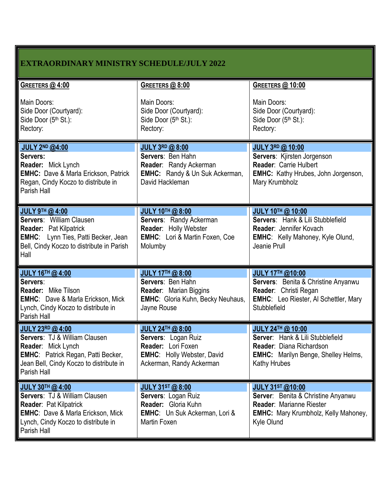| <b>EXTRAORDINARY MINISTRY SCHEDULE/JULY 2022</b>                                                                                                                                                           |                                                                                                                                              |                                                                                                                                                               |  |  |
|------------------------------------------------------------------------------------------------------------------------------------------------------------------------------------------------------------|----------------------------------------------------------------------------------------------------------------------------------------------|---------------------------------------------------------------------------------------------------------------------------------------------------------------|--|--|
| GREETERS @ 4:00<br>Main Doors:<br>Side Door (Courtyard):<br>Side Door (5th St.):<br>Rectory:                                                                                                               | GREETERS @ 8:00<br>Main Doors:<br>Side Door (Courtyard):<br>Side Door (5th St.):<br>Rectory:                                                 | <b>GREETERS @ 10:00</b><br>Main Doors:<br>Side Door (Courtyard):<br>Side Door (5th St.):<br>Rectory:                                                          |  |  |
| <b>JULY 2ND @4:00</b><br>Servers:<br>Reader: Mick Lynch<br><b>EMHC:</b> Dave & Marla Erickson, Patrick<br>Regan, Cindy Koczo to distribute in<br>Parish Hall                                               | <b>JULY 3RD @ 8:00</b><br>Servers: Ben Hahn<br>Reader: Randy Ackerman<br><b>EMHC:</b> Randy & Un Suk Ackerman,<br>David Hackleman            | <b>JULY 3RD @ 10:00</b><br>Servers: Kjirsten Jorgenson<br>Reader: Carrie Hulbert<br><b>EMHC:</b> Kathy Hrubes, John Jorgenson,<br>Mary Krumbholz              |  |  |
| <b>JULY 9TH @ 4:00</b><br><b>Servers: William Clausen</b><br><b>Reader: Pat Kilpatrick</b><br><b>EMHC:</b> Lynn Ties, Patti Becker, Jean<br>Bell, Cindy Koczo to distribute in Parish<br>Hall              | <b>JULY 10TH @8:00</b><br>Servers: Randy Ackerman<br>Reader: Holly Webster<br><b>EMHC:</b> Lori & Martin Foxen, Coe<br>Molumby               | <b>JULY 10TH @ 10:00</b><br>Servers: Hank & Lili Stubblefield<br>Reader: Jennifer Kovach<br><b>EMHC:</b> Kelly Mahoney, Kyle Olund,<br>Jeanie Prull           |  |  |
| JULY 16TH @ 4:00<br>Servers:<br>Reader: Mike Tilson<br><b>EMHC:</b> Dave & Marla Erickson, Mick<br>Lynch, Cindy Koczo to distribute in<br>Parish Hall                                                      | <b>JULY 17TH @ 8:00</b><br>Servers: Ben Hahn<br>Reader: Marian Biggins<br><b>EMHC:</b> Gloria Kuhn, Becky Neuhaus,<br>Jayne Rouse            | <b>JULY 17TH @10:00</b><br>Servers: Benita & Christine Anyanwu<br>Reader: Christi Regan<br><b>EMHC:</b> Leo Riester, Al Schettler, Mary<br>Stubblefield       |  |  |
| <b>JULY 23RD @ 4:00</b><br><b>Servers: TJ &amp; William Clausen</b><br><b>Reader: Mick Lynch</b><br><b>EMHC:</b> Patrick Regan, Patti Becker,<br>Jean Bell, Cindy Koczo to distribute in<br>Parish Hall    | <b>JULY 24TH @ 8:00</b><br>Servers: Logan Ruiz<br><b>Reader:</b> Lori Foxen<br><b>EMHC:</b> Holly Webster, David<br>Ackerman, Randy Ackerman | JULY 24TH @ 10:00<br>Server: Hank & Lili Stubblefield<br>Reader: Diana Richardson<br><b>EMHC:</b> Marilyn Benge, Shelley Helms,<br><b>Kathy Hrubes</b>        |  |  |
| <b>JULY 30TH @ 4:00</b><br><b>Servers: TJ &amp; William Clausen</b><br><b>Reader: Pat Kilpatrick</b><br><b>EMHC: Dave &amp; Marla Erickson, Mick</b><br>Lynch, Cindy Koczo to distribute in<br>Parish Hall | <b>JULY 31ST @ 8:00</b><br>Servers: Logan Ruiz<br>Reader: Gloria Kuhn<br><b>EMHC:</b> Un Suk Ackerman, Lori &<br>Martin Foxen                | <b>JULY 31ST @10:00</b><br>Server: Benita & Christine Anyanwu<br><b>Reader: Marianne Riester</b><br><b>EMHC:</b> Mary Krumbholz, Kelly Mahoney,<br>Kyle Olund |  |  |